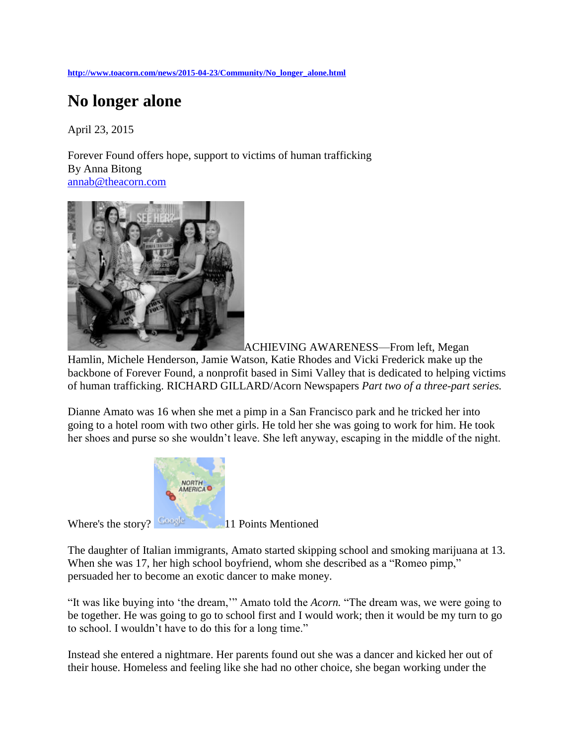**[http://www.toacorn.com/news/2015-04-23/Community/No\\_longer\\_alone.html](http://www.toacorn.com/news/2015-04-23/Community/No_longer_alone.html)**

## **No longer alone**

April 23, 2015

Forever Found offers hope, support to victims of human trafficking By Anna Bitong [annab@theacorn.com](mailto:annab@theacorn.com)



[A](http://www.toacorn.com/sites/www.toacorn.com/files/images/2015-04-23/6p1.jpg)CHIEVING AWARENESS—From left, Megan

Hamlin, Michele Henderson, Jamie Watson, Katie Rhodes and Vicki Frederick make up the backbone of Forever Found, a nonprofit based in Simi Valley that is dedicated to helping victims of human trafficking. RICHARD GILLARD/Acorn Newspapers *Part two of a three-part series.*

Dianne Amato was 16 when she met a pimp in a San Francisco park and he tricked her into going to a hotel room with two other girls. He told her she was going to work for him. He took her shoes and purse so she wouldn't leave. She left anyway, escaping in the middle of the night.



Where's the story? **Constant 11 Points Mentioned** 

The daughter of Italian immigrants, Amato started skipping school and smoking marijuana at 13. When she was 17, her high school boyfriend, whom she described as a "Romeo pimp," persuaded her to become an exotic dancer to make money.

"It was like buying into 'the dream,'" Amato told the *Acorn.* "The dream was, we were going to be together. He was going to go to school first and I would work; then it would be my turn to go to school. I wouldn't have to do this for a long time."

Instead she entered a nightmare. Her parents found out she was a dancer and kicked her out of their house. Homeless and feeling like she had no other choice, she began working under the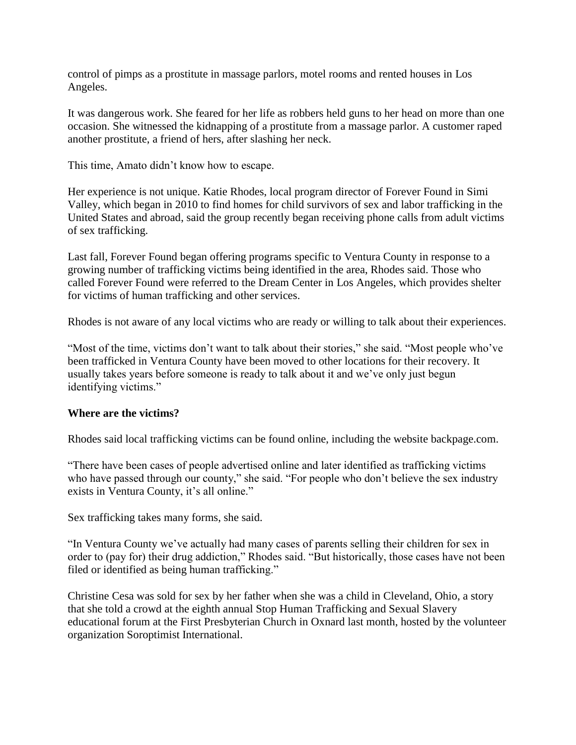control of pimps as a prostitute in massage parlors, motel rooms and rented houses in Los Angeles.

It was dangerous work. She feared for her life as robbers held guns to her head on more than one occasion. She witnessed the kidnapping of a prostitute from a massage parlor. A customer raped another prostitute, a friend of hers, after slashing her neck.

This time, Amato didn't know how to escape.

Her experience is not unique. Katie Rhodes, local program director of Forever Found in Simi Valley, which began in 2010 to find homes for child survivors of sex and labor trafficking in the United States and abroad, said the group recently began receiving phone calls from adult victims of sex trafficking.

Last fall, Forever Found began offering programs specific to Ventura County in response to a growing number of trafficking victims being identified in the area, Rhodes said. Those who called Forever Found were referred to the Dream Center in Los Angeles, which provides shelter for victims of human trafficking and other services.

Rhodes is not aware of any local victims who are ready or willing to talk about their experiences.

"Most of the time, victims don't want to talk about their stories," she said. "Most people who've been trafficked in Ventura County have been moved to other locations for their recovery. It usually takes years before someone is ready to talk about it and we've only just begun identifying victims."

## **Where are the victims?**

Rhodes said local trafficking victims can be found online, including the website backpage.com.

"There have been cases of people advertised online and later identified as trafficking victims who have passed through our county," she said. "For people who don't believe the sex industry exists in Ventura County, it's all online."

Sex trafficking takes many forms, she said.

"In Ventura County we've actually had many cases of parents selling their children for sex in order to (pay for) their drug addiction," Rhodes said. "But historically, those cases have not been filed or identified as being human trafficking."

Christine Cesa was sold for sex by her father when she was a child in Cleveland, Ohio, a story that she told a crowd at the eighth annual Stop Human Trafficking and Sexual Slavery educational forum at the First Presbyterian Church in Oxnard last month, hosted by the volunteer organization Soroptimist International.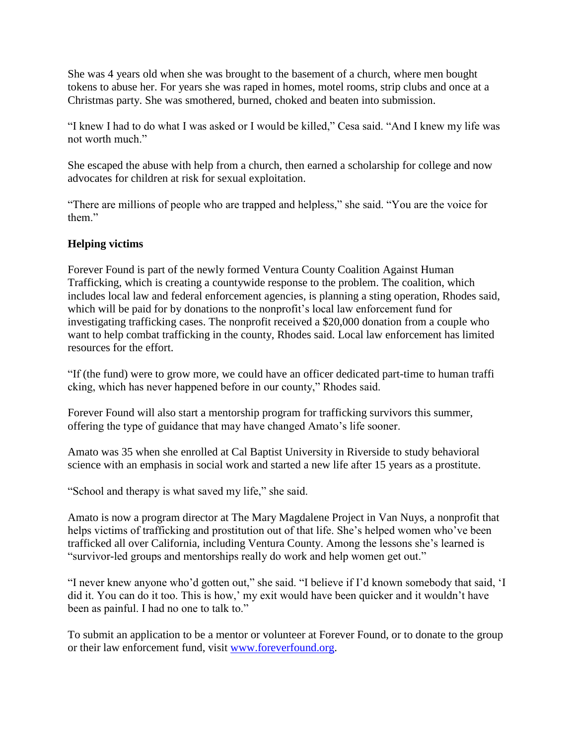She was 4 years old when she was brought to the basement of a church, where men bought tokens to abuse her. For years she was raped in homes, motel rooms, strip clubs and once at a Christmas party. She was smothered, burned, choked and beaten into submission.

"I knew I had to do what I was asked or I would be killed," Cesa said. "And I knew my life was not worth much."

She escaped the abuse with help from a church, then earned a scholarship for college and now advocates for children at risk for sexual exploitation.

"There are millions of people who are trapped and helpless," she said. "You are the voice for them."

## **Helping victims**

Forever Found is part of the newly formed Ventura County Coalition Against Human Trafficking, which is creating a countywide response to the problem. The coalition, which includes local law and federal enforcement agencies, is planning a sting operation, Rhodes said, which will be paid for by donations to the nonprofit's local law enforcement fund for investigating trafficking cases. The nonprofit received a \$20,000 donation from a couple who want to help combat trafficking in the county, Rhodes said. Local law enforcement has limited resources for the effort.

"If (the fund) were to grow more, we could have an officer dedicated part-time to human traffi cking, which has never happened before in our county," Rhodes said.

Forever Found will also start a mentorship program for trafficking survivors this summer, offering the type of guidance that may have changed Amato's life sooner.

Amato was 35 when she enrolled at Cal Baptist University in Riverside to study behavioral science with an emphasis in social work and started a new life after 15 years as a prostitute.

"School and therapy is what saved my life," she said.

Amato is now a program director at The Mary Magdalene Project in Van Nuys, a nonprofit that helps victims of trafficking and prostitution out of that life. She's helped women who've been trafficked all over California, including Ventura County. Among the lessons she's learned is "survivor-led groups and mentorships really do work and help women get out."

"I never knew anyone who'd gotten out," she said. "I believe if I'd known somebody that said, 'I did it. You can do it too. This is how,' my exit would have been quicker and it wouldn't have been as painful. I had no one to talk to."

To submit an application to be a mentor or volunteer at Forever Found, or to donate to the group or their law enforcement fund, visit [www.foreverfound.org.](http://www.foreverfound.org/)